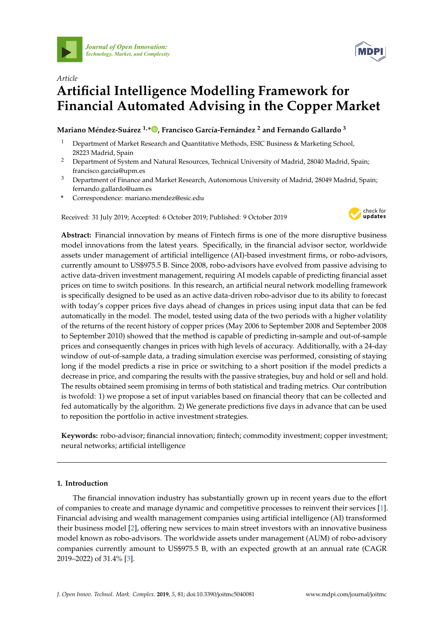



# *Article* **Artificial Intelligence Modelling Framework for Financial Automated Advising in the Copper Market**

# **Mariano Méndez-Suárez 1,\* [,](https://orcid.org/0000-0002-6018-6463) Francisco García-Fernández <sup>2</sup> and Fernando Gallardo <sup>3</sup>**

- <sup>1</sup> Department of Market Research and Quantitative Methods, ESIC Business & Marketing School, 28223 Madrid, Spain
- <sup>2</sup> Department of System and Natural Resources, Technical University of Madrid, 28040 Madrid, Spain; francisco.garcia@upm.es
- <sup>3</sup> Department of Finance and Market Research, Autonomous University of Madrid, 28049 Madrid, Spain; fernando.gallardo@uam.es
- **\*** Correspondence: mariano.mendez@esic.edu

Received: 31 July 2019; Accepted: 6 October 2019; Published: 9 October 2019



**Abstract:** Financial innovation by means of Fintech firms is one of the more disruptive business model innovations from the latest years. Specifically, in the financial advisor sector, worldwide assets under management of artificial intelligence (AI)-based investment firms, or robo-advisors, currently amount to US\$975.5 B. Since 2008, robo-advisors have evolved from passive advising to active data-driven investment management, requiring AI models capable of predicting financial asset prices on time to switch positions. In this research, an artificial neural network modelling framework is specifically designed to be used as an active data-driven robo-advisor due to its ability to forecast with today's copper prices five days ahead of changes in prices using input data that can be fed automatically in the model. The model, tested using data of the two periods with a higher volatility of the returns of the recent history of copper prices (May 2006 to September 2008 and September 2008 to September 2010) showed that the method is capable of predicting in-sample and out-of-sample prices and consequently changes in prices with high levels of accuracy. Additionally, with a 24-day window of out-of-sample data, a trading simulation exercise was performed, consisting of staying long if the model predicts a rise in price or switching to a short position if the model predicts a decrease in price, and comparing the results with the passive strategies, buy and hold or sell and hold. The results obtained seem promising in terms of both statistical and trading metrics. Our contribution is twofold: 1) we propose a set of input variables based on financial theory that can be collected and fed automatically by the algorithm. 2) We generate predictions five days in advance that can be used to reposition the portfolio in active investment strategies.

**Keywords:** robo-advisor; financial innovation; fintech; commodity investment; copper investment; neural networks; artificial intelligence

## **1. Introduction**

The financial innovation industry has substantially grown up in recent years due to the effort of companies to create and manage dynamic and competitive processes to reinvent their services [\[1\]](#page-9-0). Financial advising and wealth management companies using artificial intelligence (AI) transformed their business model [\[2\]](#page-9-1), offering new services to main street investors with an innovative business model known as robo-advisors. The worldwide assets under management (AUM) of robo-advisory companies currently amount to US\$975.5 B, with an expected growth at an annual rate (CAGR 2019–2022) of 31.4% [\[3\]](#page-10-0).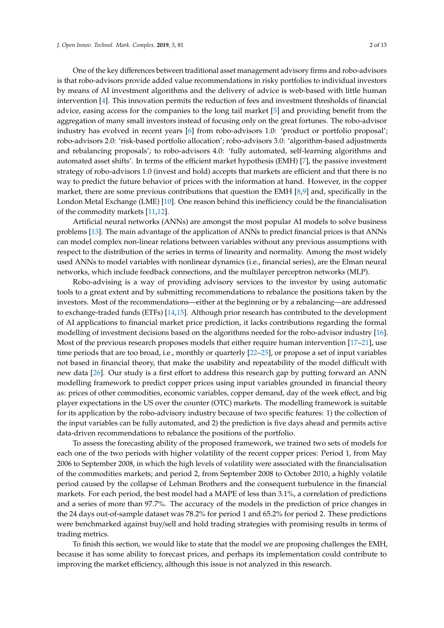One of the key differences between traditional asset management advisory firms and robo-advisors is that robo-advisors provide added value recommendations in risky portfolios to individual investors by means of AI investment algorithms and the delivery of advice is web-based with little human intervention [\[4\]](#page-10-1). This innovation permits the reduction of fees and investment thresholds of financial advice, easing access for the companies to the long tail market [\[5\]](#page-10-2) and providing benefit from the aggregation of many small investors instead of focusing only on the great fortunes. The robo-advisor industry has evolved in recent years [\[6\]](#page-10-3) from robo-advisors 1.0: 'product or portfolio proposal'; robo-advisors 2.0: 'risk-based portfolio allocation'; robo-advisors 3.0: 'algorithm-based adjustments and rebalancing proposals'; to robo-advisors 4.0: 'fully automated, self-learning algorithms and automated asset shifts'. In terms of the efficient market hypothesis (EMH) [\[7\]](#page-10-4), the passive investment strategy of robo-advisors 1.0 (invest and hold) accepts that markets are efficient and that there is no way to predict the future behavior of prices with the information at hand. However, in the copper market, there are some previous contributions that question the EMH [\[8](#page-10-5)[,9\]](#page-10-6) and, specifically in the London Metal Exchange (LME) [\[10\]](#page-10-7). One reason behind this inefficiency could be the financialisation of the commodity markets [\[11,](#page-10-8)[12\]](#page-10-9).

Artificial neural networks (ANNs) are amongst the most popular AI models to solve business problems [\[13\]](#page-10-10). The main advantage of the application of ANNs to predict financial prices is that ANNs can model complex non-linear relations between variables without any previous assumptions with respect to the distribution of the series in terms of linearity and normality. Among the most widely used ANNs to model variables with nonlinear dynamics (i.e., financial series), are the Elman neural networks, which include feedback connections, and the multilayer perceptron networks (MLP).

Robo-advising is a way of providing advisory services to the investor by using automatic tools to a great extent and by submitting recommendations to rebalance the positions taken by the investors. Most of the recommendations—either at the beginning or by a rebalancing—are addressed to exchange-traded funds (ETFs) [\[14](#page-10-11)[,15\]](#page-10-12). Although prior research has contributed to the development of AI applications to financial market price prediction, it lacks contributions regarding the formal modelling of investment decisions based on the algorithms needed for the robo-advisor industry [\[16\]](#page-10-13). Most of the previous research proposes models that either require human intervention [\[17–](#page-10-14)[21\]](#page-10-15), use time periods that are too broad, i.e., monthly or quarterly [\[22](#page-10-16)[–25\]](#page-10-17), or propose a set of input variables not based in financial theory, that make the usability and repeatability of the model difficult with new data [\[26\]](#page-10-18). Our study is a first effort to address this research gap by putting forward an ANN modelling framework to predict copper prices using input variables grounded in financial theory as: prices of other commodities, economic variables, copper demand, day of the week effect, and big player expectations in the US over the counter (OTC) markets. The modelling framework is suitable for its application by the robo-advisory industry because of two specific features: 1) the collection of the input variables can be fully automated, and 2) the prediction is five days ahead and permits active data-driven recommendations to rebalance the positions of the portfolio.

To assess the forecasting ability of the proposed framework, we trained two sets of models for each one of the two periods with higher volatility of the recent copper prices: Period 1, from May 2006 to September 2008, in which the high levels of volatility were associated with the financialisation of the commodities markets; and period 2, from September 2008 to October 2010, a highly volatile period caused by the collapse of Lehman Brothers and the consequent turbulence in the financial markets. For each period, the best model had a MAPE of less than 3.1%, a correlation of predictions and a series of more than 97.7%. The accuracy of the models in the prediction of price changes in the 24 days out-of-sample dataset was 78.2% for period 1 and 65.2% for period 2. These predictions were benchmarked against buy/sell and hold trading strategies with promising results in terms of trading metrics.

To finish this section, we would like to state that the model we are proposing challenges the EMH, because it has some ability to forecast prices, and perhaps its implementation could contribute to improving the market efficiency, although this issue is not analyzed in this research.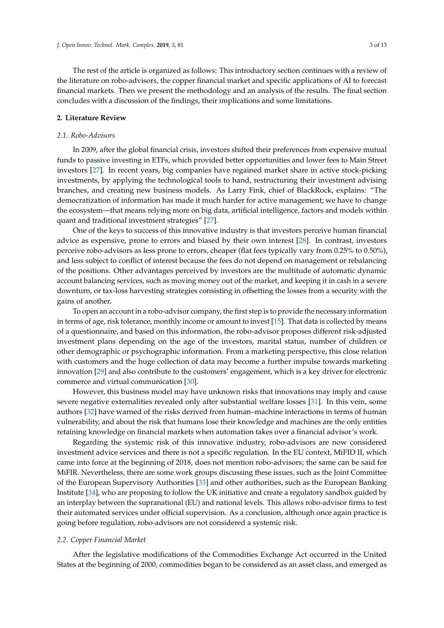The rest of the article is organized as follows: This introductory section continues with a review of the literature on robo-advisors, the copper financial market and specific applications of AI to forecast financial markets. Then we present the methodology and an analysis of the results. The final section concludes with a discussion of the findings, their implications and some limitations.

## **2. Literature Review**

#### *2.1. Robo-Advisors*

In 2009, after the global financial crisis, investors shifted their preferences from expensive mutual funds to passive investing in ETFs, which provided better opportunities and lower fees to Main Street investors [\[27\]](#page-10-19). In recent years, big companies have regained market share in active stock-picking investments, by applying the technological tools to hand, restructuring their investment advising branches, and creating new business models. As Larry Fink, chief of BlackRock, explains: "The democratization of information has made it much harder for active management; we have to change the ecosystem—that means relying more on big data, artificial intelligence, factors and models within quant and traditional investment strategies" [\[27\]](#page-10-19).

One of the keys to success of this innovative industry is that investors perceive human financial advice as expensive, prone to errors and biased by their own interest [\[28\]](#page-11-0). In contrast, investors perceive robo-advisors as less prone to errors, cheaper (flat fees typically vary from 0.25% to 0.50%), and less subject to conflict of interest because the fees do not depend on management or rebalancing of the positions. Other advantages perceived by investors are the multitude of automatic dynamic account balancing services, such as moving money out of the market, and keeping it in cash in a severe downturn, or tax-loss harvesting strategies consisting in offsetting the losses from a security with the gains of another.

To open an account in a robo-advisor company, the first step is to provide the necessary information in terms of age, risk tolerance, monthly income or amount to invest [\[15\]](#page-10-12). That data is collected by means of a questionnaire, and based on this information, the robo-advisor proposes different risk-adjusted investment plans depending on the age of the investors, marital status, number of children or other demographic or psychographic information. From a marketing perspective, this close relation with customers and the huge collection of data may become a further impulse towards marketing innovation [\[29\]](#page-11-1) and also contribute to the customers' engagement, which is a key driver for electronic commerce and virtual communication [\[30\]](#page-11-2).

However, this business model may have unknown risks that innovations may imply and cause severe negative externalities revealed only after substantial welfare losses [\[31\]](#page-11-3). In this vein, some authors [\[32\]](#page-11-4) have warned of the risks derived from human–machine interactions in terms of human vulnerability, and about the risk that humans lose their knowledge and machines are the only entities retaining knowledge on financial markets when automation takes over a financial advisor's work.

Regarding the systemic risk of this innovative industry, robo-advisors are now considered investment advice services and there is not a specific regulation. In the EU context, MiFID II, which came into force at the beginning of 2018, does not mention robo-advisors; the same can be said for MiFIR. Nevertheless, there are some work groups discussing these issues, such as the Joint Committee of the European Supervisory Authorities [\[33\]](#page-11-5) and other authorities, such as the European Banking Institute [\[34\]](#page-11-6), who are proposing to follow the UK initiative and create a regulatory sandbox guided by an interplay between the supranational (EU) and national levels. This allows robo-advisor firms to test their automated services under official supervision. As a conclusion, although once again practice is going before regulation, robo-advisors are not considered a systemic risk.

#### *2.2. Copper Financial Market*

After the legislative modifications of the Commodities Exchange Act occurred in the United States at the beginning of 2000, commodities began to be considered as an asset class, and emerged as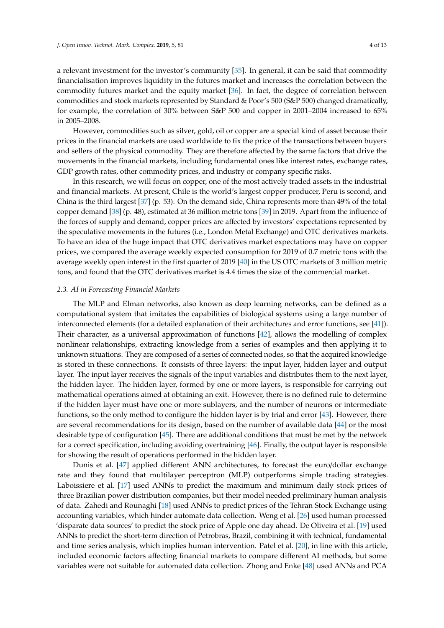a relevant investment for the investor's community [\[35\]](#page-11-7). In general, it can be said that commodity financialisation improves liquidity in the futures market and increases the correlation between the commodity futures market and the equity market [\[36\]](#page-11-8). In fact, the degree of correlation between commodities and stock markets represented by Standard & Poor's 500 (S&P 500) changed dramatically, for example, the correlation of 30% between S&P 500 and copper in 2001–2004 increased to 65% in 2005–2008.

However, commodities such as silver, gold, oil or copper are a special kind of asset because their prices in the financial markets are used worldwide to fix the price of the transactions between buyers and sellers of the physical commodity. They are therefore affected by the same factors that drive the movements in the financial markets, including fundamental ones like interest rates, exchange rates, GDP growth rates, other commodity prices, and industry or company specific risks.

In this research, we will focus on copper, one of the most actively traded assets in the industrial and financial markets. At present, Chile is the world's largest copper producer, Peru is second, and China is the third largest [\[37\]](#page-11-9) (p. 53). On the demand side, China represents more than 49% of the total copper demand [\[38\]](#page-11-10) (p. 48), estimated at 36 million metric tons [\[39\]](#page-11-11) in 2019. Apart from the influence of the forces of supply and demand, copper prices are affected by investors' expectations represented by the speculative movements in the futures (i.e., London Metal Exchange) and OTC derivatives markets. To have an idea of the huge impact that OTC derivatives market expectations may have on copper prices, we compared the average weekly expected consumption for 2019 of 0.7 metric tons with the average weekly open interest in the first quarter of 2019 [\[40\]](#page-11-12) in the US OTC markets of 3 million metric tons, and found that the OTC derivatives market is 4.4 times the size of the commercial market.

### *2.3. AI in Forecasting Financial Markets*

The MLP and Elman networks, also known as deep learning networks, can be defined as a computational system that imitates the capabilities of biological systems using a large number of interconnected elements (for a detailed explanation of their architectures and error functions, see [\[41\]](#page-11-13)). Their character, as a universal approximation of functions [\[42\]](#page-11-14), allows the modelling of complex nonlinear relationships, extracting knowledge from a series of examples and then applying it to unknown situations. They are composed of a series of connected nodes, so that the acquired knowledge is stored in these connections. It consists of three layers: the input layer, hidden layer and output layer. The input layer receives the signals of the input variables and distributes them to the next layer, the hidden layer. The hidden layer, formed by one or more layers, is responsible for carrying out mathematical operations aimed at obtaining an exit. However, there is no defined rule to determine if the hidden layer must have one or more sublayers, and the number of neurons or intermediate functions, so the only method to configure the hidden layer is by trial and error [\[43\]](#page-11-15). However, there are several recommendations for its design, based on the number of available data [\[44\]](#page-11-16) or the most desirable type of configuration [\[45\]](#page-11-17). There are additional conditions that must be met by the network for a correct specification, including avoiding overtraining [\[46\]](#page-11-18). Finally, the output layer is responsible for showing the result of operations performed in the hidden layer.

Dunis et al. [\[47\]](#page-11-19) applied different ANN architectures, to forecast the euro/dollar exchange rate and they found that multilayer perceptron (MLP) outperforms simple trading strategies. Laboissiere et al. [\[17\]](#page-10-14) used ANNs to predict the maximum and minimum daily stock prices of three Brazilian power distribution companies, but their model needed preliminary human analysis of data. Zahedi and Rounaghi [\[18\]](#page-10-20) used ANNs to predict prices of the Tehran Stock Exchange using accounting variables, which hinder automate data collection. Weng et al. [\[26\]](#page-10-18) used human processed 'disparate data sources' to predict the stock price of Apple one day ahead. De Oliveira et al. [\[19\]](#page-10-21) used ANNs to predict the short-term direction of Petrobras, Brazil, combining it with technical, fundamental and time series analysis, which implies human intervention. Patel et al. [\[20\]](#page-10-22), in line with this article, included economic factors affecting financial markets to compare different AI methods, but some variables were not suitable for automated data collection. Zhong and Enke [\[48\]](#page-11-20) used ANNs and PCA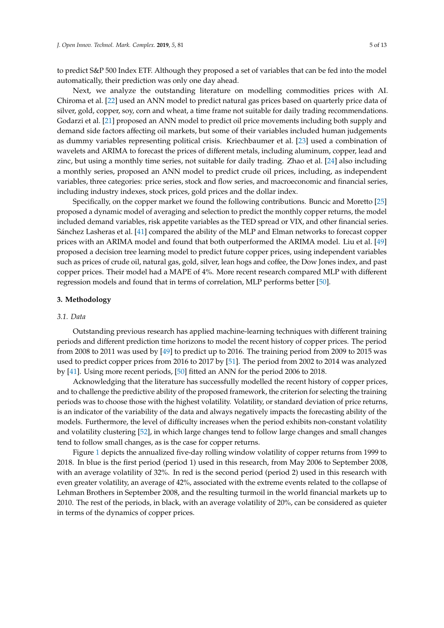to predict S&P 500 Index ETF. Although they proposed a set of variables that can be fed into the model automatically, their prediction was only one day ahead.

Next, we analyze the outstanding literature on modelling commodities prices with AI. Chiroma et al. [\[22\]](#page-10-16) used an ANN model to predict natural gas prices based on quarterly price data of silver, gold, copper, soy, corn and wheat, a time frame not suitable for daily trading recommendations. Godarzi et al. [\[21\]](#page-10-15) proposed an ANN model to predict oil price movements including both supply and demand side factors affecting oil markets, but some of their variables included human judgements as dummy variables representing political crisis. Kriechbaumer et al. [\[23\]](#page-10-23) used a combination of wavelets and ARIMA to forecast the prices of different metals, including aluminum, copper, lead and zinc, but using a monthly time series, not suitable for daily trading. Zhao et al. [\[24\]](#page-10-24) also including a monthly series, proposed an ANN model to predict crude oil prices, including, as independent variables, three categories: price series, stock and flow series, and macroeconomic and financial series, including industry indexes, stock prices, gold prices and the dollar index.

Specifically, on the copper market we found the following contributions. Buncic and Moretto [\[25\]](#page-10-17) proposed a dynamic model of averaging and selection to predict the monthly copper returns, the model included demand variables, risk appetite variables as the TED spread or VIX, and other financial series. Sánchez Lasheras et al. [\[41\]](#page-11-13) compared the ability of the MLP and Elman networks to forecast copper prices with an ARIMA model and found that both outperformed the ARIMA model. Liu et al. [\[49\]](#page-11-21) proposed a decision tree learning model to predict future copper prices, using independent variables such as prices of crude oil, natural gas, gold, silver, lean hogs and coffee, the Dow Jones index, and past copper prices. Their model had a MAPE of 4%. More recent research compared MLP with different regression models and found that in terms of correlation, MLP performs better [\[50\]](#page-11-22).

#### **3. Methodology**

## *3.1. Data*

Outstanding previous research has applied machine-learning techniques with different training periods and different prediction time horizons to model the recent history of copper prices. The period from 2008 to 2011 was used by [\[49\]](#page-11-21) to predict up to 2016. The training period from 2009 to 2015 was used to predict copper prices from 2016 to 2017 by [\[51\]](#page-11-23). The period from 2002 to 2014 was analyzed by [\[41\]](#page-11-13). Using more recent periods, [\[50\]](#page-11-22) fitted an ANN for the period 2006 to 2018.

Acknowledging that the literature has successfully modelled the recent history of copper prices, and to challenge the predictive ability of the proposed framework, the criterion for selecting the training periods was to choose those with the highest volatility. Volatility, or standard deviation of price returns, is an indicator of the variability of the data and always negatively impacts the forecasting ability of the models. Furthermore, the level of difficulty increases when the period exhibits non-constant volatility and volatility clustering [\[52\]](#page-11-24), in which large changes tend to follow large changes and small changes tend to follow small changes, as is the case for copper returns.

Figure [1](#page-5-0) depicts the annualized five-day rolling window volatility of copper returns from 1999 to 2018. In blue is the first period (period 1) used in this research, from May 2006 to September 2008, with an average volatility of 32%. In red is the second period (period 2) used in this research with even greater volatility, an average of 42%, associated with the extreme events related to the collapse of Lehman Brothers in September 2008, and the resulting turmoil in the world financial markets up to 2010. The rest of the periods, in black, with an average volatility of 20%, can be considered as quieter in terms of the dynamics of copper prices.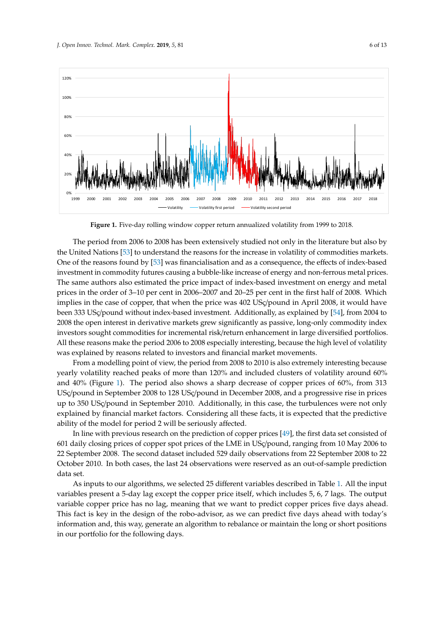<span id="page-5-0"></span>

**Figure 1.** Five-day rolling window copper return annualized volatility from 1999 to 2018. **Figure 1.** Five-day rolling window copper return annualized volatility from 1999 to 2018.

The period from 2006 to 2008 has been extensively studied not only in the literature but also by The period from 2006 to 2008 has been extensively studied not only in the literature but also by the United Nations [53] to understand the reasons for the increase in volatility of commodities the United Nations [\[53\]](#page-11-25) to understand the reasons for the increase in volatility of commodities markets. One of the reasons found by  $[53]$  was financialisation and as a consequence, the effects of index-based investment in commodity futures causing a bubble-like increase of energy and non-ferrous metal prices. The same authors also estimated the price impact of index-based investment on energy and metal prices in the order of 3–10 per cent in 2006–2007 and 20–25 per cent in the first half of 2008. Which implies in the case of copper, that when the price was 402 USç/pound in April 2008, it would have been 333 USç/pound without index-based investment. Additionally, as explained by [\[54\]](#page-12-0), from 2004 to 2008 the open interest in derivative markets grew significantly as passive, long-only commodity index investors sought commodities for incremental risk/return enhancement in large diversified portfolios. All these reasons make the period 2006 to 2008 especially interesting, because the high level of volatility was explained by reasons related to investors and financial market movements.

From a modelling point of view, the period from 2008 to 2010 is also extremely interesting because yearly volatility reached peaks of more than 120% and included clusters of volatility around 60% and  $40\%$  (Figure 1). The period also shows a sharp decrease of copper prices of  $60\%$ , from 313 USç/pound in September 2008 to 128 USç/pound in December 2008, and a progressive rise in prices up to 350 USç/pound in September 2010. Additionally, in this case, the turbulences were not only explained by financial market factors. Considering all these facts, it is expected that the predictive ability of the model for period 2 will be seriously affected.

In line with previous research on the prediction of copper prices [\[49\]](#page-11-21), the first data set consisted of 601 daily closing prices of copper spot prices of the LME in USç/pound, ranging from 10 May 2006 to 22 September 2008. The second dataset included 529 daily observations from 22 September 2008 to 22  $\,$ October 2010. In both cases, the last 24 observations were reserved as an out-of-sample prediction  $22$  october 2010. In both cases, the last 24 observations were reserved as an out-of-sample predictions were reserved as an out-of-sample predictions were reserved as an out-of-sample predictions were reserved as an outdata set.

As inputs to our algorithms, we selected 25 different variables described in Table [1.](#page-6-0) All the input variables present a 5-day lag except the copper price itself, which includes 5, 6, 7 lags. The output variable copper price has no lag, meaning that we want to predict copper prices five days ahead. This fact is key in the design of the robo-advisor, as we can predict five days ahead with today's information and, this way, generate an algorithm to rebalance or maintain the long or short positions in our portfolio for the following days.  $\overline{\phantom{a}}$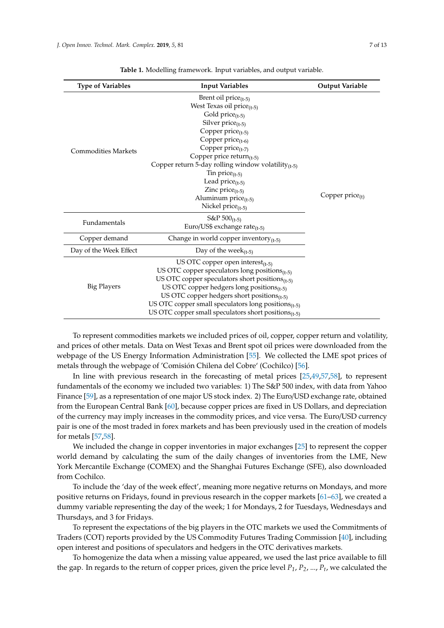<span id="page-6-0"></span>

| <b>Type of Variables</b>   | <b>Input Variables</b>                                                                                                                                                                                                                                                                                                                                                                                   | <b>Output Variable</b> |
|----------------------------|----------------------------------------------------------------------------------------------------------------------------------------------------------------------------------------------------------------------------------------------------------------------------------------------------------------------------------------------------------------------------------------------------------|------------------------|
| <b>Commodities Markets</b> | Brent oil price $(t-5)$<br>West Texas oil price $(t-5)$<br>Gold price $(t-5)$<br>Silver $price_{(t-5)}$<br>Copper price $(t-5)$<br>Copper $price_{(t-6)}$<br>Copper $price_{(t-7)}$<br>Copper price return $_{(t-5)}$<br>Copper return 5-day rolling window volatility $_{(t-5)}$<br>Tin price $(t-5)$<br>Lead price $(t-5)$<br>Zinc $price_{(t-5)}$<br>Aluminum price $(t-5)$<br>Nickel $price_{(t-5)}$ | Copper $price_{(t)}$   |
| Fundamentals               | $S\&P 500_{(t-5)}$<br>Euro/US\$ exchange rate $_{(t-5)}$                                                                                                                                                                                                                                                                                                                                                 |                        |
| Copper demand              | Change in world copper inventory $_{(t-5)}$                                                                                                                                                                                                                                                                                                                                                              |                        |
| Day of the Week Effect     | Day of the week $(t-5)$                                                                                                                                                                                                                                                                                                                                                                                  |                        |
| <b>Big Players</b>         | US OTC copper open interest $_{(t-5)}$<br>US OTC copper speculators long positions $_{(t-5)}$<br>US OTC copper speculators short positions $_{(t-5)}$<br>US OTC copper hedgers long positions $_{(t-5)}$<br>US OTC copper hedgers short positions $_{(t-5)}$<br>US OTC copper small speculators long positions $(t_{t-5})$<br>US OTC copper small speculators short positions $_{(t-5)}$                 |                        |

**Table 1.** Modelling framework. Input variables, and output variable.

To represent commodities markets we included prices of oil, copper, copper return and volatility, and prices of other metals. Data on West Texas and Brent spot oil prices were downloaded from the webpage of the US Energy Information Administration [\[55\]](#page-12-1). We collected the LME spot prices of metals through the webpage of 'Comisión Chilena del Cobre' (Cochilco) [\[56\]](#page-12-2).

In line with previous research in the forecasting of metal prices [\[25](#page-10-17)[,49](#page-11-21)[,57](#page-12-3)[,58\]](#page-12-4), to represent fundamentals of the economy we included two variables: 1) The S&P 500 index, with data from Yahoo Finance [\[59\]](#page-12-5), as a representation of one major US stock index. 2) The Euro/USD exchange rate, obtained from the European Central Bank [\[60\]](#page-12-6), because copper prices are fixed in US Dollars, and depreciation of the currency may imply increases in the commodity prices, and vice versa. The Euro/USD currency pair is one of the most traded in forex markets and has been previously used in the creation of models for metals [\[57](#page-12-3)[,58\]](#page-12-4).

We included the change in copper inventories in major exchanges [\[25\]](#page-10-17) to represent the copper world demand by calculating the sum of the daily changes of inventories from the LME, New York Mercantile Exchange (COMEX) and the Shanghai Futures Exchange (SFE), also downloaded from Cochilco.

To include the 'day of the week effect', meaning more negative returns on Mondays, and more positive returns on Fridays, found in previous research in the copper markets [\[61](#page-12-7)[–63\]](#page-12-8), we created a dummy variable representing the day of the week; 1 for Mondays, 2 for Tuesdays, Wednesdays and Thursdays, and 3 for Fridays.

To represent the expectations of the big players in the OTC markets we used the Commitments of Traders (COT) reports provided by the US Commodity Futures Trading Commission [\[40\]](#page-11-12), including open interest and positions of speculators and hedgers in the OTC derivatives markets.

To homogenize the data when a missing value appeared, we used the last price available to fill the gap. In regards to the return of copper prices, given the price level *P1*, *P2*, ..., *P<sup>t</sup>* , we calculated the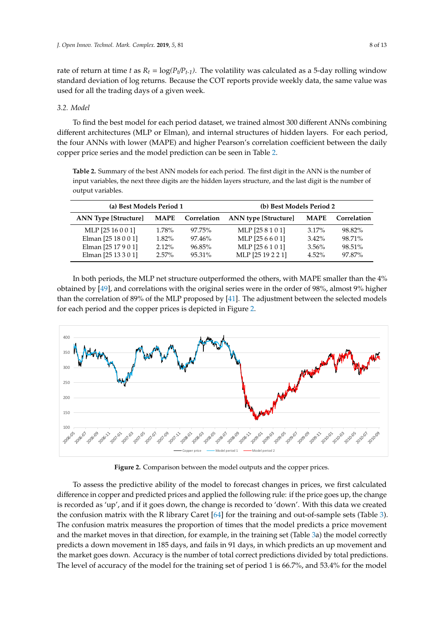rate of return at time t as  $R_t = \log(P_t/P_{t-1})$ . The volatility was calculated as a 5-day rolling window standard deviation of log returns. Because the COT reports provide weekly data, the same value was used for all the trading days of a given week.

### *3.2. Model*

To find the best model for each period dataset, we trained almost 300 different ANNs combining different architectures (MLP or Elman), and internal structures of hidden layers. For each period, the four ANNs with lower (MAPE) and higher Pearson's correlation coefficient between the daily [co](#page-7-0)pper price series and the model prediction can be seen in Table 2.

<span id="page-7-0"></span>**Table 2.** Summary of the best ANN models for each period. The first digit in the ANN is the number of input variables, the next three digits are the hidden layers structure, and the last digit is the number of output variables. The next three digits are three digits are three digits are three digits are three digital is the number of  $\alpha$ 

| (a) Best Models Period 1    |             |             | (b) Best Models Period 2    |             |             |  |
|-----------------------------|-------------|-------------|-----------------------------|-------------|-------------|--|
| <b>ANN Type [Structure]</b> | <b>MAPE</b> | Correlation | <b>ANN</b> type [Structure] | <b>MAPE</b> | Correlation |  |
| MLP [25 16 0 0 1]           | $1.78\%$    | 97.75%      | MLP [25 8 1 0 1]            | $3.17\%$    | 98.82%      |  |
| Elman [25 18 0 0 1]         | $1.82\%$    | 97.46%      | MLP [25 6 6 0 1]            | $3.42\%$    | 98.71%      |  |
| Elman [25 17 9 0 1]         | $2.12\%$    | 96.85%      | MLP [25 6 1 0 1]            | $3.56\%$    | 98.51%      |  |
| Elman [25 13 3 0 1]         | $2.57\%$    | $95.31\%$   | MLP [25 19 2 2 1]           | $4.52\%$    | 97.87%      |  |

In both periods, the MLP net structure outperformed the others, with MAPE smaller than the 4% obtained by  $[49]$ , and correlations with the original series were in the order of 98%, almost 9% higher than the correlation of 89% of the MLP proposed by [\[41\]](#page-11-13). The adjustment between the selected models for each period and the copper prices is depicted in Figure [2.](#page-7-1)

<span id="page-7-1"></span>

**Figure 2.** Comparison between the model outputs and the copper prices. **Figure 2.** Comparison between the model outputs and the copper prices.

To assess the predictive ability of the model to forecast changes in prices, we first calculated To assess the predictive ability of the model to forecast changes in prices, we first calculated difference in copper and predicted prices and applied the following rule: if the price goes up, the difference in copper and predicted prices and applied the following rule: if the price goes up, the change is recorded as 'up', and if it goes down, the change is recorded to 'down'. With this data we created the confusion matrix with the R library Caret  $[64]$  for the training and out-of-sample [set](#page-8-0)s (Table 3). The confusion matrix measures the proportion of times that the model predicts a price movement and the market moves in that direction, for example, in the trai[nin](#page-8-0)g set (Table 3a) the model correctly predicts a down movement in 185 days, and fails in 91 days, in which predicts an up movement and the market goes down. Accuracy is the number of total correct predictions divided by total predictions. The level of accuracy of the model for the training set of period 1 is 66.7%, and 53.4% for the model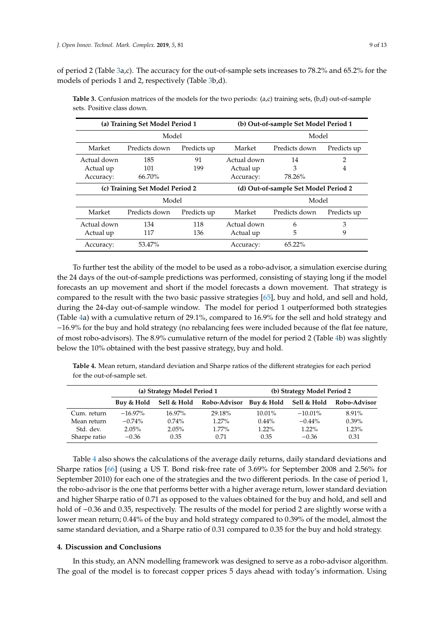of period 2 (Table [3a](#page-8-0),c). The accuracy for the out-of-sample sets increases to 78.2% and 65.2% for the models of periods 1 and 2, respectively (Table [3b](#page-8-0),d).

| (a) Training Set Model Period 1 |               |             | (b) Out-of-sample Set Model Period 1 |               |             |  |
|---------------------------------|---------------|-------------|--------------------------------------|---------------|-------------|--|
| Model                           |               |             |                                      | Model         |             |  |
| Market                          | Predicts down | Predicts up | Market                               | Predicts down | Predicts up |  |
| Actual down                     | 185           | 91          | Actual down                          | 14            | 2           |  |
| Actual up                       | 101           | 199         | Actual up                            | 3             | 4           |  |
| Accuracy:                       | 66.70%        |             | Accuracy:                            | 78.26%        |             |  |
| (c) Training Set Model Period 2 |               |             | (d) Out-of-sample Set Model Period 2 |               |             |  |
| Model                           |               |             |                                      | Model         |             |  |
|                                 |               |             |                                      |               |             |  |
| Market                          | Predicts down | Predicts up | Market                               | Predicts down | Predicts up |  |
| Actual down                     | 134           | 118         | Actual down                          | 6             | 3           |  |
| Actual up                       | 117           | 136         | Actual up                            | 5             | 9           |  |

<span id="page-8-0"></span>**Table 3.** Confusion matrices of the models for the two periods: (a,c) training sets, (b,d) out-of-sample sets. Positive class down.

To further test the ability of the model to be used as a robo-advisor, a simulation exercise during the 24 days of the out-of-sample predictions was performed, consisting of staying long if the model forecasts an up movement and short if the model forecasts a down movement. That strategy is compared to the result with the two basic passive strategies [\[65\]](#page-12-10), buy and hold, and sell and hold, during the 24-day out-of-sample window. The model for period 1 outperformed both strategies (Table [4a](#page-8-1)) with a cumulative return of 29.1%, compared to 16.9% for the sell and hold strategy and −16.9% for the buy and hold strategy (no rebalancing fees were included because of the flat fee nature, of most robo-advisors). The 8.9% cumulative return of the model for period 2 (Table [4b](#page-8-1)) was slightly below the 10% obtained with the best passive strategy, buy and hold.

<span id="page-8-1"></span>**Table 4.** Mean return, standard deviation and Sharpe ratios of the different strategies for each period for the out-of-sample set.

|              | (a) Strategy Model Period 1 |             |                         |           | (b) Strategy Model Period 2 |              |
|--------------|-----------------------------|-------------|-------------------------|-----------|-----------------------------|--------------|
|              | Buy & Hold                  | Sell & Hold | Robo-Advisor Buy & Hold |           | Sell & Hold                 | Robo-Advisor |
| Cum. return  | $-16.97\%$                  | $16.97\%$   | 29.18%                  | $10.01\%$ | $-10.01\%$                  | 8.91%        |
| Mean return  | $-0.74\%$                   | $0.74\%$    | $1.27\%$                | $0.44\%$  | $-0.44\%$                   | $0.39\%$     |
| Std. dev.    | $2.05\%$                    | 2.05%       | $1.77\%$                | 1.22%     | $1.22\%$                    | 1.23%        |
| Sharpe ratio | $-0.36$                     | 0.35        | 0.71                    | 0.35      | $-0.36$                     | 0.31         |

Table [4](#page-8-1) also shows the calculations of the average daily returns, daily standard deviations and Sharpe ratios [\[66\]](#page-12-11) (using a US T. Bond risk-free rate of 3.69% for September 2008 and 2.56% for September 2010) for each one of the strategies and the two different periods. In the case of period 1, the robo-advisor is the one that performs better with a higher average return, lower standard deviation and higher Sharpe ratio of 0.71 as opposed to the values obtained for the buy and hold, and sell and hold of −0.36 and 0.35, respectively. The results of the model for period 2 are slightly worse with a lower mean return; 0.44% of the buy and hold strategy compared to 0.39% of the model, almost the same standard deviation, and a Sharpe ratio of 0.31 compared to 0.35 for the buy and hold strategy.

#### **4. Discussion and Conclusions**

In this study, an ANN modelling framework was designed to serve as a robo-advisor algorithm. The goal of the model is to forecast copper prices 5 days ahead with today's information. Using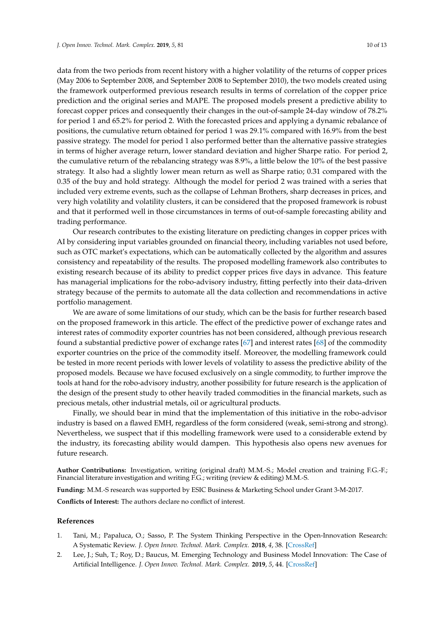data from the two periods from recent history with a higher volatility of the returns of copper prices (May 2006 to September 2008, and September 2008 to September 2010), the two models created using the framework outperformed previous research results in terms of correlation of the copper price prediction and the original series and MAPE. The proposed models present a predictive ability to forecast copper prices and consequently their changes in the out-of-sample 24-day window of 78.2% for period 1 and 65.2% for period 2. With the forecasted prices and applying a dynamic rebalance of positions, the cumulative return obtained for period 1 was 29.1% compared with 16.9% from the best passive strategy. The model for period 1 also performed better than the alternative passive strategies in terms of higher average return, lower standard deviation and higher Sharpe ratio. For period 2, the cumulative return of the rebalancing strategy was 8.9%, a little below the 10% of the best passive strategy. It also had a slightly lower mean return as well as Sharpe ratio; 0.31 compared with the 0.35 of the buy and hold strategy. Although the model for period 2 was trained with a series that included very extreme events, such as the collapse of Lehman Brothers, sharp decreases in prices, and very high volatility and volatility clusters, it can be considered that the proposed framework is robust and that it performed well in those circumstances in terms of out-of-sample forecasting ability and trading performance.

Our research contributes to the existing literature on predicting changes in copper prices with AI by considering input variables grounded on financial theory, including variables not used before, such as OTC market's expectations, which can be automatically collected by the algorithm and assures consistency and repeatability of the results. The proposed modelling framework also contributes to existing research because of its ability to predict copper prices five days in advance. This feature has managerial implications for the robo-advisory industry, fitting perfectly into their data-driven strategy because of the permits to automate all the data collection and recommendations in active portfolio management.

We are aware of some limitations of our study, which can be the basis for further research based on the proposed framework in this article. The effect of the predictive power of exchange rates and interest rates of commodity exporter countries has not been considered, although previous research found a substantial predictive power of exchange rates [\[67\]](#page-12-12) and interest rates [\[68\]](#page-12-13) of the commodity exporter countries on the price of the commodity itself. Moreover, the modelling framework could be tested in more recent periods with lower levels of volatility to assess the predictive ability of the proposed models. Because we have focused exclusively on a single commodity, to further improve the tools at hand for the robo-advisory industry, another possibility for future research is the application of the design of the present study to other heavily traded commodities in the financial markets, such as precious metals, other industrial metals, oil or agricultural products.

Finally, we should bear in mind that the implementation of this initiative in the robo-advisor industry is based on a flawed EMH, regardless of the form considered (weak, semi-strong and strong). Nevertheless, we suspect that if this modelling framework were used to a considerable extend by the industry, its forecasting ability would dampen. This hypothesis also opens new avenues for future research.

**Author Contributions:** Investigation, writing (original draft) M.M.-S.; Model creation and training F.G.-F.; Financial literature investigation and writing F.G.; writing (review & editing) M.M.-S.

**Funding:** M.M.-S research was supported by ESIC Business & Marketing School under Grant 3-M-2017.

**Conflicts of Interest:** The authors declare no conflict of interest.

#### **References**

- <span id="page-9-0"></span>1. Tani, M.; Papaluca, O.; Sasso, P. The System Thinking Perspective in the Open-Innovation Research: A Systematic Review. *J. Open Innov. Technol. Mark. Complex.* **2018**, *4*, 38. [\[CrossRef\]](http://dx.doi.org/10.3390/joitmc4030038)
- <span id="page-9-1"></span>2. Lee, J.; Suh, T.; Roy, D.; Baucus, M. Emerging Technology and Business Model Innovation: The Case of Artificial Intelligence. *J. Open Innov. Technol. Mark. Complex.* **2019**, *5*, 44. [\[CrossRef\]](http://dx.doi.org/10.3390/joitmc5030044)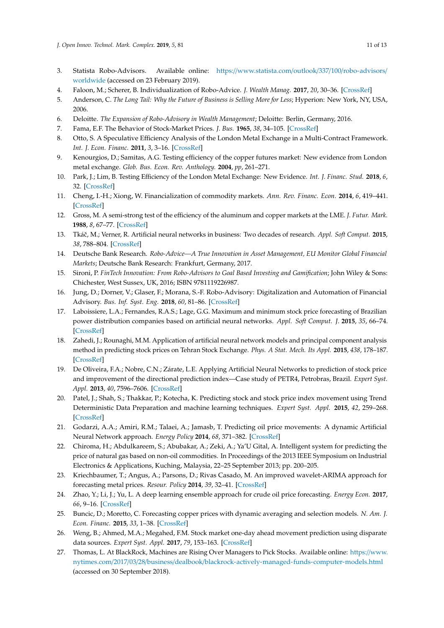- <span id="page-10-0"></span>3. Statista Robo-Advisors. Available online: https://[www.statista.com](https://www.statista.com/outlook/337/100/robo-advisors/worldwide)/outlook/337/100/robo-advisors/ [worldwide](https://www.statista.com/outlook/337/100/robo-advisors/worldwide) (accessed on 23 February 2019).
- <span id="page-10-1"></span>4. Faloon, M.; Scherer, B. Individualization of Robo-Advice. *J. Wealth Manag.* **2017**, *20*, 30–36. [\[CrossRef\]](http://dx.doi.org/10.3905/jwm.2017.20.1.030)
- <span id="page-10-2"></span>5. Anderson, C. *The Long Tail: Why the Future of Business is Selling More for Less*; Hyperion: New York, NY, USA, 2006.
- <span id="page-10-3"></span>6. Deloitte. *The Expansion of Robo-Advisory in Wealth Management*; Deloitte: Berlin, Germany, 2016.
- <span id="page-10-4"></span>7. Fama, E.F. The Behavior of Stock-Market Prices. *J. Bus.* **1965**, *38*, 34–105. [\[CrossRef\]](http://dx.doi.org/10.1086/294743)
- <span id="page-10-5"></span>8. Otto, S. A Speculative Efficiency Analysis of the London Metal Exchange in a Multi-Contract Framework. *Int. J. Econ. Financ.* **2011**, *3*, 3–16. [\[CrossRef\]](http://dx.doi.org/10.5539/ijef.v3n1p3)
- <span id="page-10-6"></span>9. Kenourgios, D.; Samitas, A.G. Testing efficiency of the copper futures market: New evidence from London metal exchange. *Glob. Bus. Econ. Rev. Anthology.* **2004**, *pp*, 261–271.
- <span id="page-10-7"></span>10. Park, J.; Lim, B. Testing Efficiency of the London Metal Exchange: New Evidence. *Int. J. Financ. Stud.* **2018**, *6*, 32. [\[CrossRef\]](http://dx.doi.org/10.3390/ijfs6010032)
- <span id="page-10-8"></span>11. Cheng, I.-H.; Xiong, W. Financialization of commodity markets. *Ann. Rev. Financ. Econ.* **2014**, *6*, 419–441. [\[CrossRef\]](http://dx.doi.org/10.1146/annurev-financial-110613-034432)
- <span id="page-10-9"></span>12. Gross, M. A semi-strong test of the efficiency of the aluminum and copper markets at the LME. *J. Futur. Mark.* **1988**, *8*, 67–77. [\[CrossRef\]](http://dx.doi.org/10.1002/fut.3990080106)
- <span id="page-10-10"></span>13. Tkáˇc, M.; Verner, R. Artificial neural networks in business: Two decades of research. *Appl. Soft Comput.* **2015**, *38*, 788–804. [\[CrossRef\]](http://dx.doi.org/10.1016/j.asoc.2015.09.040)
- <span id="page-10-11"></span>14. Deutsche Bank Research. *Robo-Advice—A True Innovation in Asset Management, EU Monitor Global Financial Markets*; Deutsche Bank Research: Frankfurt, Germany, 2017.
- <span id="page-10-12"></span>15. Sironi, P. *FinTech Innovation: From Robo-Advisors to Goal Based Investing and Gamification*; John Wiley & Sons: Chichester, West Sussex, UK, 2016; ISBN 9781119226987.
- <span id="page-10-13"></span>16. Jung, D.; Dorner, V.; Glaser, F.; Morana, S.-F. Robo-Advisory: Digitalization and Automation of Financial Advisory. *Bus. Inf. Syst. Eng.* **2018**, *60*, 81–86. [\[CrossRef\]](http://dx.doi.org/10.1007/s12599-018-0521-9)
- <span id="page-10-14"></span>17. Laboissiere, L.A.; Fernandes, R.A.S.; Lage, G.G. Maximum and minimum stock price forecasting of Brazilian power distribution companies based on artificial neural networks. *Appl. Soft Comput. J.* **2015**, *35*, 66–74. [\[CrossRef\]](http://dx.doi.org/10.1016/j.asoc.2015.06.005)
- <span id="page-10-20"></span>18. Zahedi, J.; Rounaghi, M.M. Application of artificial neural network models and principal component analysis method in predicting stock prices on Tehran Stock Exchange. *Phys. A Stat. Mech. Its Appl.* **2015**, *438*, 178–187. [\[CrossRef\]](http://dx.doi.org/10.1016/j.physa.2015.06.033)
- <span id="page-10-21"></span>19. De Oliveira, F.A.; Nobre, C.N.; Zárate, L.E. Applying Artificial Neural Networks to prediction of stock price and improvement of the directional prediction index—Case study of PETR4, Petrobras, Brazil. *Expert Syst. Appl.* **2013**, *40*, 7596–7606. [\[CrossRef\]](http://dx.doi.org/10.1016/j.eswa.2013.06.071)
- <span id="page-10-22"></span>20. Patel, J.; Shah, S.; Thakkar, P.; Kotecha, K. Predicting stock and stock price index movement using Trend Deterministic Data Preparation and machine learning techniques. *Expert Syst. Appl.* **2015**, *42*, 259–268. [\[CrossRef\]](http://dx.doi.org/10.1016/j.eswa.2014.07.040)
- <span id="page-10-15"></span>21. Godarzi, A.A.; Amiri, R.M.; Talaei, A.; Jamasb, T. Predicting oil price movements: A dynamic Artificial Neural Network approach. *Energy Policy* **2014**, *68*, 371–382. [\[CrossRef\]](http://dx.doi.org/10.1016/j.enpol.2013.12.049)
- <span id="page-10-16"></span>22. Chiroma, H.; Abdulkareem, S.; Abubakar, A.; Zeki, A.; Ya'U Gital, A. Intelligent system for predicting the price of natural gas based on non-oil commodities. In Proceedings of the 2013 IEEE Symposium on Industrial Electronics & Applications, Kuching, Malaysia, 22–25 September 2013; pp. 200–205.
- <span id="page-10-23"></span>23. Kriechbaumer, T.; Angus, A.; Parsons, D.; Rivas Casado, M. An improved wavelet-ARIMA approach for forecasting metal prices. *Resour. Policy* **2014**, *39*, 32–41. [\[CrossRef\]](http://dx.doi.org/10.1016/j.resourpol.2013.10.005)
- <span id="page-10-24"></span>24. Zhao, Y.; Li, J.; Yu, L. A deep learning ensemble approach for crude oil price forecasting. *Energy Econ.* **2017**, *66*, 9–16. [\[CrossRef\]](http://dx.doi.org/10.1016/j.eneco.2017.05.023)
- <span id="page-10-17"></span>25. Buncic, D.; Moretto, C. Forecasting copper prices with dynamic averaging and selection models. *N. Am. J. Econ. Financ.* **2015**, *33*, 1–38. [\[CrossRef\]](http://dx.doi.org/10.1016/j.najef.2015.03.002)
- <span id="page-10-18"></span>26. Weng, B.; Ahmed, M.A.; Megahed, F.M. Stock market one-day ahead movement prediction using disparate data sources. *Expert Syst. Appl.* **2017**, *79*, 153–163. [\[CrossRef\]](http://dx.doi.org/10.1016/j.eswa.2017.02.041)
- <span id="page-10-19"></span>27. Thomas, L. At BlackRock, Machines are Rising Over Managers to Pick Stocks. Available online: https://[www.](https://www.nytimes.com/2017/03/28/business/dealbook/blackrock-actively-managed-funds-computer-models.html) nytimes.com/2017/03/28/business/dealbook/[blackrock-actively-managed-funds-computer-models.html](https://www.nytimes.com/2017/03/28/business/dealbook/blackrock-actively-managed-funds-computer-models.html) (accessed on 30 September 2018).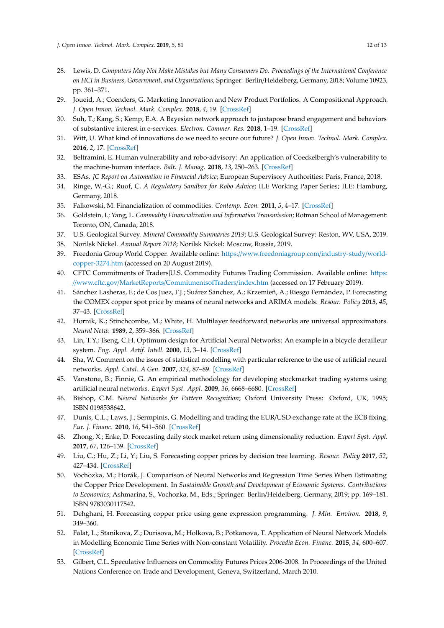- <span id="page-11-0"></span>28. Lewis, D. *Computers May Not Make Mistakes but Many Consumers Do. Proceedings of the International Conference on HCI in Business, Government, and Organizations*; Springer: Berlin/Heidelberg, Germany, 2018; Volume 10923, pp. 361–371.
- <span id="page-11-1"></span>29. Joueid, A.; Coenders, G. Marketing Innovation and New Product Portfolios. A Compositional Approach. *J. Open Innov. Technol. Mark. Complex.* **2018**, *4*, 19. [\[CrossRef\]](http://dx.doi.org/10.3390/joitmc4020019)
- <span id="page-11-2"></span>30. Suh, T.; Kang, S.; Kemp, E.A. A Bayesian network approach to juxtapose brand engagement and behaviors of substantive interest in e-services. *Electron. Commer. Res.* **2018**, 1–19. [\[CrossRef\]](http://dx.doi.org/10.1007/s10660-018-9320-0)
- <span id="page-11-3"></span>31. Witt, U. What kind of innovations do we need to secure our future? *J. Open Innov. Technol. Mark. Complex.* **2016**, *2*, 17. [\[CrossRef\]](http://dx.doi.org/10.1186/s40852-016-0043-y)
- <span id="page-11-4"></span>32. Beltramini, E. Human vulnerability and robo-advisory: An application of Coeckelbergh's vulnerability to the machine-human interface. *Balt. J. Manag.* **2018**, *13*, 250–263. [\[CrossRef\]](http://dx.doi.org/10.1108/BJM-10-2017-0315)
- <span id="page-11-5"></span>33. ESAs. *JC Report on Automation in Financial Advice*; European Supervisory Authorities: Paris, France, 2018.
- <span id="page-11-6"></span>34. Ringe, W.-G.; Ruof, C. *A Regulatory Sandbox for Robo Advice*; ILE Working Paper Series; ILE: Hamburg, Germany, 2018.
- <span id="page-11-7"></span>35. Falkowski, M. Financialization of commodities. *Contemp. Econ.* **2011**, *5*, 4–17. [\[CrossRef\]](http://dx.doi.org/10.5709/ce.1897-9254.24)
- <span id="page-11-8"></span>36. Goldstein, I.; Yang, L. *Commodity Financialization and Information Transmission*; Rotman School of Management: Toronto, ON, Canada, 2018.
- <span id="page-11-9"></span>37. U.S. Geological Survey. *Mineral Commodity Summaries 2019*; U.S. Geological Survey: Reston, WV, USA, 2019.
- <span id="page-11-10"></span>38. Norilsk Nickel. *Annual Report 2018*; Norilsk Nickel: Moscow, Russia, 2019.
- <span id="page-11-11"></span>39. Freedonia Group World Copper. Available online: https://[www.freedoniagroup.com](https://www.freedoniagroup.com/industry-study/world-copper-3274.htm)/industry-study/world[copper-3274.htm](https://www.freedoniagroup.com/industry-study/world-copper-3274.htm) (accessed on 20 August 2019).
- <span id="page-11-12"></span>40. CFTC Commitments of Traders|U.S. Commodity Futures Trading Commission. Available online: [https:](https://www.cftc.gov/MarketReports/CommitmentsofTraders/index.htm) //www.cftc.gov/MarketReports/[CommitmentsofTraders](https://www.cftc.gov/MarketReports/CommitmentsofTraders/index.htm)/index.htm (accessed on 17 February 2019).
- <span id="page-11-13"></span>41. Sánchez Lasheras, F.; de Cos Juez, F.J.; Suárez Sánchez, A.; Krzemień, A.; Riesgo Fernández, P. Forecasting the COMEX copper spot price by means of neural networks and ARIMA models. *Resour. Policy* **2015**, *45*, 37–43. [\[CrossRef\]](http://dx.doi.org/10.1016/j.resourpol.2015.03.004)
- <span id="page-11-14"></span>42. Hornik, K.; Stinchcombe, M.; White, H. Multilayer feedforward networks are universal approximators. *Neural Netw.* **1989**, *2*, 359–366. [\[CrossRef\]](http://dx.doi.org/10.1016/0893-6080(89)90020-8)
- <span id="page-11-15"></span>43. Lin, T.Y.; Tseng, C.H. Optimum design for Artificial Neural Networks: An example in a bicycle derailleur system. *Eng. Appl. Artif. Intell.* **2000**, *13*, 3–14. [\[CrossRef\]](http://dx.doi.org/10.1016/S0952-1976(99)00045-7)
- <span id="page-11-16"></span>44. Sha, W. Comment on the issues of statistical modelling with particular reference to the use of artificial neural networks. *Appl. Catal. A Gen.* **2007**, *324*, 87–89. [\[CrossRef\]](http://dx.doi.org/10.1016/j.apcata.2007.02.053)
- <span id="page-11-17"></span>45. Vanstone, B.; Finnie, G. An empirical methodology for developing stockmarket trading systems using artificial neural networks. *Expert Syst. Appl.* **2009**, *36*, 6668–6680. [\[CrossRef\]](http://dx.doi.org/10.1016/j.eswa.2008.08.019)
- <span id="page-11-18"></span>46. Bishop, C.M. *Neural Networks for Pattern Recognition*; Oxford University Press: Oxford, UK, 1995; ISBN 0198538642.
- <span id="page-11-19"></span>47. Dunis, C.L.; Laws, J.; Sermpinis, G. Modelling and trading the EUR/USD exchange rate at the ECB fixing. *Eur. J. Financ.* **2010**, *16*, 541–560. [\[CrossRef\]](http://dx.doi.org/10.1080/13518470903037771)
- <span id="page-11-20"></span>48. Zhong, X.; Enke, D. Forecasting daily stock market return using dimensionality reduction. *Expert Syst. Appl.* **2017**, *67*, 126–139. [\[CrossRef\]](http://dx.doi.org/10.1016/j.eswa.2016.09.027)
- <span id="page-11-21"></span>49. Liu, C.; Hu, Z.; Li, Y.; Liu, S. Forecasting copper prices by decision tree learning. *Resour. Policy* **2017**, *52*, 427–434. [\[CrossRef\]](http://dx.doi.org/10.1016/j.resourpol.2017.05.007)
- <span id="page-11-22"></span>50. Vochozka, M.; Horák, J. Comparison of Neural Networks and Regression Time Series When Estimating the Copper Price Development. In *Sustainable Growth and Development of Economic Systems. Contributions to Economics*; Ashmarina, S., Vochozka, M., Eds.; Springer: Berlin/Heidelberg, Germany, 2019; pp. 169–181. ISBN 9783030117542.
- <span id="page-11-23"></span>51. Dehghani, H. Forecasting copper price using gene expression programming. *J. Min. Environ.* **2018**, *9*, 349–360.
- <span id="page-11-24"></span>52. Falat, L.; Stanikova, Z.; Durisova, M.; Holkova, B.; Potkanova, T. Application of Neural Network Models in Modelling Economic Time Series with Non-constant Volatility. *Procedia Econ. Financ.* **2015**, *34*, 600–607. [\[CrossRef\]](http://dx.doi.org/10.1016/S2212-5671(15)01674-3)
- <span id="page-11-25"></span>53. Gilbert, C.L. Speculative Influences on Commodity Futures Prices 2006-2008. In Proceedings of the United Nations Conference on Trade and Development, Geneva, Switzerland, March 2010.